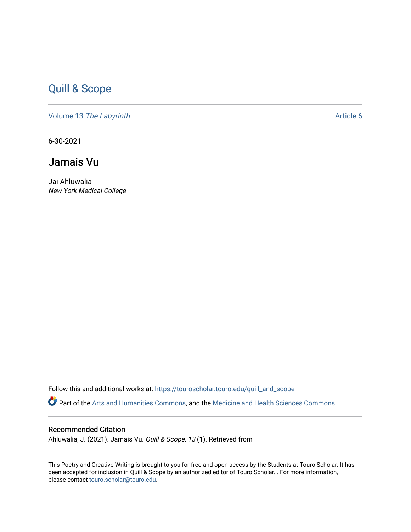## [Quill & Scope](https://touroscholar.touro.edu/quill_and_scope)

Volume 13 [The Labyrinth](https://touroscholar.touro.edu/quill_and_scope/vol13) Article 6

6-30-2021

## Jamais Vu

Jai Ahluwalia New York Medical College

Follow this and additional works at: [https://touroscholar.touro.edu/quill\\_and\\_scope](https://touroscholar.touro.edu/quill_and_scope?utm_source=touroscholar.touro.edu%2Fquill_and_scope%2Fvol13%2Fiss1%2F6&utm_medium=PDF&utm_campaign=PDFCoverPages) Part of the [Arts and Humanities Commons,](http://network.bepress.com/hgg/discipline/438?utm_source=touroscholar.touro.edu%2Fquill_and_scope%2Fvol13%2Fiss1%2F6&utm_medium=PDF&utm_campaign=PDFCoverPages) and the [Medicine and Health Sciences Commons](http://network.bepress.com/hgg/discipline/648?utm_source=touroscholar.touro.edu%2Fquill_and_scope%2Fvol13%2Fiss1%2F6&utm_medium=PDF&utm_campaign=PDFCoverPages)

## Recommended Citation

Ahluwalia, J. (2021). Jamais Vu. Quill & Scope, 13 (1). Retrieved from

This Poetry and Creative Writing is brought to you for free and open access by the Students at Touro Scholar. It has been accepted for inclusion in Quill & Scope by an authorized editor of Touro Scholar. . For more information, please contact [touro.scholar@touro.edu](mailto:touro.scholar@touro.edu).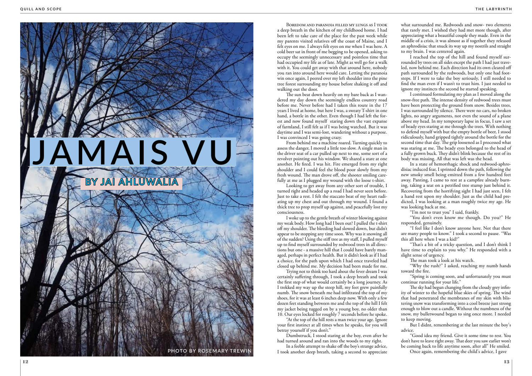

Boredom and paranoia filled my lungs as I took a deep breath in the kitchen of my childhood home. I had been left to take care of the place for the past week while my parents visited relatives off the coast of Maine, and I felt eyes on me. I always felt eyes on me when I was here. A cold beer sat in front of me begging to be opened, asking to occupy the seemingly unnecessary and pointless time that had occupied my life as of late. Might as well go for a walk with it. You could get away with that around here, nobody you ran into around here would care. Letting the paranoia win once again, I peered over my left shoulder into the pine tree forest surrounding my house before shaking it off and walking out the door.

From behind me a machine roared. Turning quickly to assess the danger, I moved a little too slow. A single man in the driver seat of a car pulled up next to me, some sort of a revolver pointing out his window. We shared a stare at one another. He fired. I was hit. Fire emerged from my right shoulder and I could feel the blood poor slowly from my fresh wound. The man drove off, the shooter smiling carefully at me as I plugged my wound with the loose t-shirt.

Looking to get away from any other sort of trouble, I turned right and headed up a road I had never seen before. Just to take a rest. I felt the staccato beat of my heart radiating up my chest and out through my wound. I found a thick tree to prop myself up against, and peacefully lost my consciousness.

The sun beat down heavily on my bare back as I wandered my day down the seemingly endless country road before me. Never before had I taken this route in the 17 years I lived at home, but here I was, a sweaty T-shirt in one hand, a bottle in the other. Even though I had left the forest and now found myself staring down the vast expanse of farmland, I still felt as if I was being watched. But it was daytime and I was semi-lost, wandering without a purpose. I was convinced I was going crazy.

In a feeble attempt to shake off the boy's strange advice, PHOTO BY ROSEMARY TREWIN **I** took another deep breath, taking a second to appreciate Once again, remembering the child's advice, I gave

I woke up to the gentle breath of winter blowing against my weak body. How long had I been out? I pulled the t-shirt off my shoulder. The bleeding had slowed down, but didn't appear to be stopping any time soon. Why was it snowing all of the sudden? Using the stiff tree as my staff, I pulled myself up to find myself surrounded by redwood trees in all directions but one - a massive hill that I could have barely managed, perhaps in perfect health. But it didn't look as if I had a choice, for the path upon which I had once traveled had closed up behind me. My decision had been made for me.

Trying not to think too hard about the fever dream I was certainly suffering through, I took a deep breath and took the first step of what would certainly be a long journey. As I trekked my way up the steep hill, my feet grew painfully numb. The snow beneath me had infiltrated the top of my shoes, for it was at least 6 inches deep now. With only a few dozen feet standing between me and the top of the hill I felt my jacket being tugged on by a young boy, no older than 10. Our eyes locked for roughly 7 seconds before he spoke.

"At the top of the hill rests a man twice your age. Ignore your first instinct at all times when he speaks, for you will betray yourself if you don't."

Dumbstruck, I stood staring at the boy, even after he had turned around and ran into the woods to my right.

what surrounded me. Redwoods and snow- two elements that rarely met. I wished they had met more though, after appreciating what a beautiful couple they made. Even in the middle of a crisis, it was almost as if together they released an aphrodisiac that snuck its way up my nostrils and straight to my brain. I was centered again.

I reached the top of the hill and found myself surrounded by trees on all sides except the path I had just traveled, now behind me. Each direction had its own cleared off path surrounded by the redwoods, but only one had footsteps. If I were to take the boy seriously, I still needed to find the man even if I wasn't to trust him. I just needed to ignore my instincts the second he started speaking.

I continued formulating my plan as I moved along the snow-free path. The intense density of redwood trees must have been protecting the ground from snow. Besides trees, I was surrounded by silence. There were no cars, no broken lights, no angry arguments, not even the sound of a plane above my head. In my temporary lapse in focus, I saw a set of beady eyes staring at me through the trees. With nothing to defend myself with but the empty bottle of beer, I stood ridiculously, hand gripped tightly around the bottle for the second time that day. The grip loosened as I processed what was staring at me. The beady eyes belonged to the head of a fully grown buck. They didn't blink because the rest of its body was missing. All that was left was the head.

In a state of hemorrhagic shock and redwood-aphrodisiac induced fear, I sprinted down the path, following the new smoky smell being emitted from a few hundred feet away. Panting, I came to rest at a campfire already burning, taking a seat on a petrified tree stump just behind it. Recovering from the horrifying sight I had just seen, I felt a hand rest upon my shoulder. Just as the child had predicted, I was looking at a man roughly twice my age. He was looking back at me.

"I'm not to trust you" I said, frankly.

"You don't even know me though. Do you?" He responded, genuinely.

"I feel like I don't know anyone here. Not that there are many people to know." I took a second to pause. "Was this all here when I was a kid?"

"That's a bit of a tricky question, and I don't think I have time to explain to you why." He responded with a slight sense of urgency.

The man took a look at his watch.

"Why the rush?" I asked, reaching my numb hands toward the fire.

"Spring is coming soon, and unfortunately you must continue running for your life."

The sky had begun changing from the cloudy grey infinity of winter to the hopeful blue skies of spring. The wind that had penetrated the membranes of my skin with blistering snow was transforming into a cool breeze just strong enough to blow out a candle. Without the numbness of the snow, my bulletwound began to sing once more. I needed to keep moving.

But I didnt, remembering at the last minute the boy's advice.

"Good idea my friend. Give it some time to rest. You don't have to leave right away. That deer you saw earlier won't be coming back to life anytime soon, after all" He smiled.